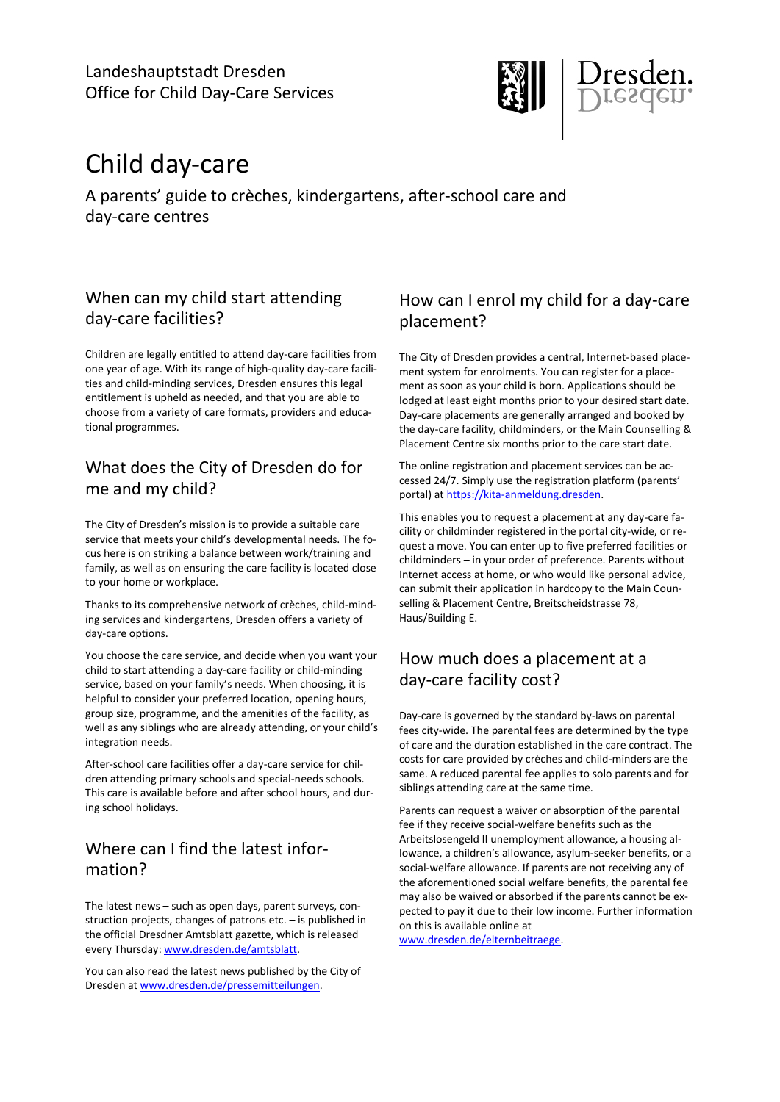Landeshauptstadt Dresden Office for Child Day-Care Services



# Child day-care

A parents' guide to crèches, kindergartens, after-school care and day-care centres

## When can my child start attending day-care facilities?

Children are legally entitled to attend day-care facilities from one year of age. With its range of high-quality day-care facilities and child-minding services, Dresden ensures this legal entitlement is upheld as needed, and that you are able to choose from a variety of care formats, providers and educational programmes.

# What does the City of Dresden do for me and my child?

The City of Dresden's mission is to provide a suitable care service that meets your child's developmental needs. The focus here is on striking a balance between work/training and family, as well as on ensuring the care facility is located close to your home or workplace.

Thanks to its comprehensive network of crèches, child-minding services and kindergartens, Dresden offers a variety of day-care options.

You choose the care service, and decide when you want your child to start attending a day-care facility or child-minding service, based on your family's needs. When choosing, it is helpful to consider your preferred location, opening hours, group size, programme, and the amenities of the facility, as well as any siblings who are already attending, or your child's integration needs.

After-school care facilities offer a day-care service for children attending primary schools and special-needs schools. This care is available before and after school hours, and during school holidays.

# Where can I find the latest information?

The latest news – such as open days, parent surveys, construction projects, changes of patrons etc. – is published in the official Dresdner Amtsblatt gazette, which is released every Thursday[: www.dresden.de/amtsblatt.](http://www.dresden.de/amtsblatt)

You can also read the latest news published by the City of Dresden a[t www.dresden.de/pressemitteilungen.](http://www.dresden.de/pressemitteilungen)

# How can I enrol my child for a day-care placement?

The City of Dresden provides a central, Internet-based placement system for enrolments. You can register for a placement as soon as your child is born. Applications should be lodged at least eight months prior to your desired start date. Day-care placements are generally arranged and booked by the day-care facility, childminders, or the Main Counselling & Placement Centre six months prior to the care start date.

The online registration and placement services can be accessed 24/7. Simply use the registration platform (parents' portal) at [https://kita-anmeldung.dresden.](https://kita-anmeldung.dresden/)

This enables you to request a placement at any day-care facility or childminder registered in the portal city-wide, or request a move. You can enter up to five preferred facilities or childminders – in your order of preference. Parents without Internet access at home, or who would like personal advice, can submit their application in hardcopy to the Main Counselling & Placement Centre, Breitscheidstrasse 78, Haus/Building E.

# How much does a placement at a day-care facility cost?

Day-care is governed by the standard by-laws on parental fees city-wide. The parental fees are determined by the type of care and the duration established in the care contract. The costs for care provided by crèches and child-minders are the same. A reduced parental fee applies to solo parents and for siblings attending care at the same time.

Parents can request a waiver or absorption of the parental fee if they receive social-welfare benefits such as the Arbeitslosengeld II unemployment allowance, a housing allowance, a children's allowance, asylum-seeker benefits, or a social-welfare allowance. If parents are not receiving any of the aforementioned social welfare benefits, the parental fee may also be waived or absorbed if the parents cannot be expected to pay it due to their low income. Further information on this is available online at

[www.dresden.de/elternbeitraege.](http://www.dresden.de/elternbeitraege)